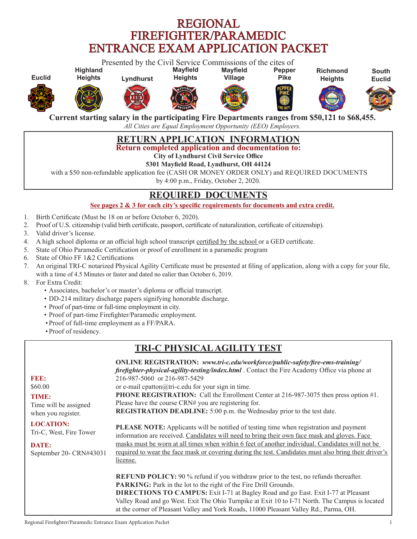# REGIONAL FIREFIGHTER/PARAMEDIC ENTRANCE EXAM APPLICATION PACKET



**Current starting salary in the participating Fire Departments ranges from \$50,121 to \$68,455.**

*All Cities are Equal Employment Opportunity (EEO) Employers.*

### **RETURN APPLICATION INFORMATION**

**Return completed application and documentation to:**

**City of Lyndhurst Civil Service Office** 

**5301 Mayfield Road, Lyndhurst, OH 44124**

with a \$50 non-refundable application fee (CASH OR MONEY ORDER ONLY) and REQUIRED DOCUMENTS

by 4:00 p.m., Friday, October 2, 2020.

### **REQUIRED DOCUMENTS**

**See pages 2 & 3 for each city's specific requirements for documents and extra credit.**

- 1. Birth Certificate (Must be 18 on or before October 6, 2020).
- 2. Proof of U.S. citizenship (valid birth certificate, passport, certificate of naturalization, certificate of citizenship).
- 3. Valid driver's license.
- 4. A high school diploma or an official high school transcript certified by the school or a GED certificate.
- 5. State of Ohio Paramedic Certification or proof of enrollment in a paramedic program
- 6. State of Ohio FF 1&2 Certifications
- 7. An original TRI-C notarized Physical Agility Certificate must be presented at filing of application, along with a copy for your file, with a time of 4.5 Minutes or faster and dated no ealier than October 6, 2019.
- 8. For Extra Credit:
	- Associates, bachelor's or master's diploma or official transcript.
	- DD-214 military discharge papers signifying honorable discharge.
	- Proof of part-time or full-time employment in city.
	- Proof of part-time Firefighter/Paramedic employment.
	- Proof of full-time employment as a FF/PARA.
	- Proof of residency.

### **TRI-C PHYSICAL AGILITY TEST**

|                                                      | <b>ONLINE REGISTRATION:</b> www.tri-c.edu/workforce/public-safety/fire-ems-training/                                                                                                                                                                                                                                                                                                                                                                     |
|------------------------------------------------------|----------------------------------------------------------------------------------------------------------------------------------------------------------------------------------------------------------------------------------------------------------------------------------------------------------------------------------------------------------------------------------------------------------------------------------------------------------|
| <b>FEE:</b>                                          | firefighter-physical-agility-testing/index.html. Contact the Fire Academy Office via phone at<br>216-987-5060 or 216-987-5429                                                                                                                                                                                                                                                                                                                            |
| \$60.00                                              | or e-mail cpatton $@$ tri-c. edu for your sign in time.                                                                                                                                                                                                                                                                                                                                                                                                  |
| TIME:<br>Time will be assigned<br>when you register. | <b>PHONE REGISTRATION:</b> Call the Enrollment Center at 216-987-3075 then press option #1.<br>Please have the course CRN# you are registering for.<br>REGISTRATION DEADLINE: 5:00 p.m. the Wednesday prior to the test date.                                                                                                                                                                                                                            |
| <b>LOCATION:</b><br>Tri-C, West, Fire Tower          | <b>PLEASE NOTE:</b> Applicants will be notified of testing time when registration and payment<br>information are received. Candidates will need to bring their own face mask and gloves. Face                                                                                                                                                                                                                                                            |
| <b>DATE:</b><br>September 20- CRN#43031              | masks must be worn at all times when within 6 feet of another individual. Candidates will not be<br>required to wear the face mask or covering during the test. Candidates must also bring their driver's<br>license.                                                                                                                                                                                                                                    |
|                                                      | <b>REFUND POLICY:</b> 90 % refund if you withdraw prior to the test, no refunds thereafter.<br><b>PARKING:</b> Park in the lot to the right of the Fire Drill Grounds.<br>DIRECTIONS TO CAMPUS: Exit I-71 at Bagley Road and go East. Exit I-77 at Pleasant<br>Valley Road and go West. Exit The Ohio Turnpike at Exit 10 to I-71 North. The Campus is located<br>at the corner of Pleasant Valley and York Roads, 11000 Pleasant Valley Rd., Parma, OH. |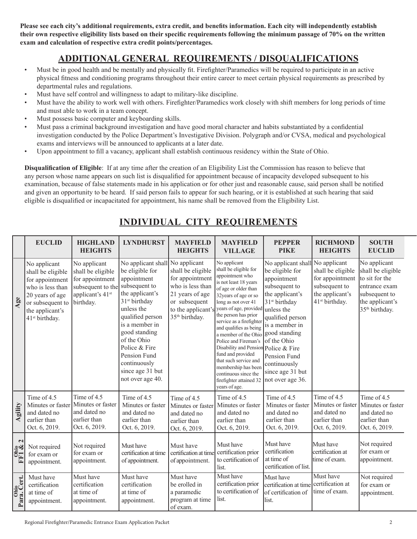**Please see each city's additional requirements, extra credit, and benefits information. Each city will independently establish their own respective eligibility lists based on their specific requirements following the minimum passage of 70% on the written exam and calculation of respective extra credit points/percentages.**

### **ADDITIONAL GENERAL REQUIREMENTS / DISQUALIFICATIONS**

- Must be in good health and be mentally and physically fit. Firefighter/Paramedics will be required to participate in an active physical fitness and conditioning programs throughout their entire career to meet certain physical requirements as prescribed by departmental rules and regulations.
- Must have self control and willingness to adapt to military-like discipline.
- Must have the ability to work well with others. Firefighter/Paramedics work closely with shift members for long periods of time and must able to work in a team concept.
- Must possess basic computer and keyboarding skills.
- Must pass a criminal background investigation and have good moral character and habits substantiated by a confidential investigation conducted by the Police Department's Investigative Division. Polygraph and/or CVSA, medical and psychological exams and interviews will be announced to applicants at a later date.
- Upon appointment to fill a vacancy, applicant shall establish continuous residency within the State of Ohio.

**Disqualification of Eligible**: If at any time after the creation of an Eligibility List the Commission has reason to believe that any person whose name appears on such list is disqualified for appointment because of incapacity developed subsequent to his examination, because of false statements made in his application or for other just and reasonable cause, said person shall be notified and given an opportunity to be heard. If said person fails to appear for such hearing, or it is established at such hearing that said eligible is disqualified or incapacitated for appointment, his name shall be removed from the Eligibility List.

|                                                                   | <b>EUCLID</b>                                                                                                                                                    | <b>HIGHLAND</b>                                                                                                        | <b>LYNDHURST</b>                                                                                                                                                                                                                                                                                      | <b>MAYFIELD</b>                                                                                                                                  | <b>MAYFIELD</b>                                                                                                                                                                                                                                                                                                                                                                                                                                                                                              | <b>PEPPER</b>                                                                                                                                                                                                                                                                    | <b>RICHMOND</b>                                                                                        | <b>SOUTH</b>                                                                                                                           |
|-------------------------------------------------------------------|------------------------------------------------------------------------------------------------------------------------------------------------------------------|------------------------------------------------------------------------------------------------------------------------|-------------------------------------------------------------------------------------------------------------------------------------------------------------------------------------------------------------------------------------------------------------------------------------------------------|--------------------------------------------------------------------------------------------------------------------------------------------------|--------------------------------------------------------------------------------------------------------------------------------------------------------------------------------------------------------------------------------------------------------------------------------------------------------------------------------------------------------------------------------------------------------------------------------------------------------------------------------------------------------------|----------------------------------------------------------------------------------------------------------------------------------------------------------------------------------------------------------------------------------------------------------------------------------|--------------------------------------------------------------------------------------------------------|----------------------------------------------------------------------------------------------------------------------------------------|
|                                                                   |                                                                                                                                                                  | <b>HEIGHTS</b>                                                                                                         |                                                                                                                                                                                                                                                                                                       | <b>HEIGHTS</b>                                                                                                                                   | <b>VILLAGE</b>                                                                                                                                                                                                                                                                                                                                                                                                                                                                                               | <b>PIKE</b>                                                                                                                                                                                                                                                                      | <b>HEIGHTS</b>                                                                                         | <b>EUCLID</b>                                                                                                                          |
| Age                                                               | No applicant<br>shall be eligible<br>for appointment<br>who is less than<br>20 years of age<br>or subsequent to<br>the applicant's<br>41 <sup>st</sup> birthday. | No applicant<br>shall be eligible<br>for appointment<br>subsequent to the<br>applicant's 41 <sup>st</sup><br>birthday. | No applicant shall No applicant<br>be eligible for<br>appointment<br>subsequent to<br>the applicant's<br>$31st$ birthday<br>unless the<br>qualified person<br>is a member in<br>good standing<br>of the Ohio<br>Police & Fire<br>Pension Fund<br>continuously<br>since age 31 but<br>not over age 40. | shall be eligible<br>for appointment<br>who is less than<br>21 years of age<br>or subsequent<br>to the applicant's<br>35 <sup>th</sup> birthday. | No applicant<br>shall be eligible for<br>appointment who<br>is not least 18 years<br>of age or older than<br>32years of age or so<br>long as not over 41<br>years of age, provided unless the<br>the person has prior<br>service as a firefighter<br>and qualifies as being<br>a member of the Ohio<br>Police and Fireman's<br>Disability and Pension Police & Fire<br>fund and provided<br>that such service and<br>membership has been<br>continuous since the<br>firefighter attained 32<br>years of age. | No applicant shall No applicant<br>be eligible for<br>appointment<br>subsequent to<br>the applicant's<br>31 <sup>st</sup> birthday<br>qualified person<br>is a member in<br>good standing<br>of the Ohio<br>Pension Fund<br>continuously<br>since age 31 but<br>not over age 36. | shall be eligible<br>for appointment<br>subsequent to<br>the applicant's<br>41 <sup>st</sup> birthday. | No applicant<br>shall be eligible<br>to sit for the<br>entrance exam<br>subsequent to<br>the applicant's<br>35 <sup>th</sup> birthday. |
| Agility                                                           | Time of 4.5<br>Minutes or faster<br>and dated no<br>earlier than<br>Oct. 6, 2019.                                                                                | Time of 4.5<br>Minutes or faster<br>and dated no<br>earlier than<br>Oct. 6, 2019.                                      | Time of 4.5<br>Minutes or faster<br>and dated no<br>earlier than<br>Oct. 6, 2019.                                                                                                                                                                                                                     | Time of 4.5<br>Minutes or faster<br>and dated no<br>earlier than<br>Oct. 6, 2019.                                                                | Time of 4.5<br>Minutes or faster<br>and dated no<br>earlier than<br>Oct. 6, 2019.                                                                                                                                                                                                                                                                                                                                                                                                                            | Time of 4.5<br>Minutes or faster<br>and dated no<br>earlier than<br>Oct. 6, 2019.                                                                                                                                                                                                | Time of 4.5<br>Minutes or faster<br>and dated no<br>earlier than<br>Oct. 6, 2019.                      | Time of 4.5<br>Minutes or faster<br>and dated no<br>earlier than<br>Oct. 6, 2019.                                                      |
| $\mathbf{\Omega}$<br>$\overline{\frac{\text{Onio}}{\text{E1}}\&}$ | Not required<br>for exam or<br>appointment.                                                                                                                      | Not required<br>for exam or<br>appointment.                                                                            | Must have<br>certification at time<br>of appointment.                                                                                                                                                                                                                                                 | Must have<br>certification at time<br>of appointment.                                                                                            | Must have<br>certification prior<br>to certification of<br>list.                                                                                                                                                                                                                                                                                                                                                                                                                                             | Must have<br>certification<br>at time of<br>certification of list.                                                                                                                                                                                                               | Must have<br>certification at<br>time of exam.                                                         | Not required<br>for exam or<br>appointment.                                                                                            |
| Para. Cert.                                                       | Must have<br>certification<br>at time of<br>appointment.                                                                                                         | Must have<br>certification<br>at time of<br>appointment.                                                               | Must have<br>certification<br>at time of<br>appointment.                                                                                                                                                                                                                                              | Must have<br>be erolled in<br>a paramedic<br>program at time<br>of exam.                                                                         | Must have<br>certification prior<br>to certification of<br>list.                                                                                                                                                                                                                                                                                                                                                                                                                                             | Must have<br>certification at time<br>of certification of<br>list.                                                                                                                                                                                                               | Must have<br>certification at<br>time of exam.                                                         | Not required<br>for exam or<br>appointment.                                                                                            |

# **INDIVIDUAL CITY REQUIREMENTS**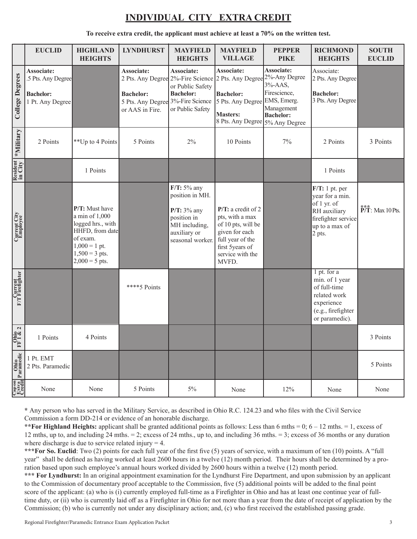### **INDIVIDUAL CITY EXTRA CREDIT**

|                                                     | <b>EUCLID</b>                                                                   | <b>HIGHLAND</b><br><b>HEIGHTS</b>                                                                                                                  | <b>LYNDHURST</b>                                                                              | <b>MAYFIELD</b><br><b>HEIGHTS</b>                                                                                   | <b>MAYFIELD</b><br><b>VILLAGE</b>                                                                                                                                                     | <b>PEPPER</b><br><b>PIKE</b>                                                           | <b>RICHMOND</b><br><b>HEIGHTS</b>                                                                                      | <b>SOUTH</b><br><b>EUCLID</b>                                     |
|-----------------------------------------------------|---------------------------------------------------------------------------------|----------------------------------------------------------------------------------------------------------------------------------------------------|-----------------------------------------------------------------------------------------------|---------------------------------------------------------------------------------------------------------------------|---------------------------------------------------------------------------------------------------------------------------------------------------------------------------------------|----------------------------------------------------------------------------------------|------------------------------------------------------------------------------------------------------------------------|-------------------------------------------------------------------|
| <b>College Degrees</b>                              | <b>Associate:</b><br>.5 Pts. Any Degree<br><b>Bachelor:</b><br>1 Pt. Any Degree |                                                                                                                                                    | <b>Associate:</b><br><b>Bachelor:</b><br>5 Pts. Any Degree 3%-Fire Science<br>or AAS in Fire. | <b>Associate:</b><br>or Public Safety<br><b>Bachelor:</b><br>or Public Safety                                       | <b>Associate:</b><br>2 Pts. Any Degree 2%-Fire Science 2 Pts. Any Degree 2%-Any Degree<br><b>Bachelor:</b><br>5 Pts. Any Degree<br><b>Masters:</b><br>8 Pts. Any Degree 5% Any Degree | Associate:<br>3%-AAS,<br>Firescience,<br>EMS, Emerg.<br>Management<br><b>Bachelor:</b> | Associate:<br>2 Pts. Any Degree<br><b>Bachelor:</b><br>3 Pts. Any Degree                                               |                                                                   |
| Resident   *Military<br>in City                     | 2 Points                                                                        | **Up to 4 Points                                                                                                                                   | 5 Points                                                                                      | 2%                                                                                                                  | 10 Points                                                                                                                                                                             | 7%                                                                                     | 2 Points                                                                                                               | 3 Points                                                          |
|                                                     |                                                                                 | 1 Points                                                                                                                                           |                                                                                               |                                                                                                                     |                                                                                                                                                                                       |                                                                                        | 1 Points                                                                                                               |                                                                   |
| Current City<br>Employee                            |                                                                                 | $P/T$ : Must have<br>a min of 1,000<br>logged hrs., with<br>HHFD, from date<br>of exam.<br>$1,000 = 1$ pt.<br>$1,500 = 3$ pts.<br>$2,000 = 5$ pts. |                                                                                               | F/T: 5% any<br>position in MH.<br>$P/T: 3%$ any<br>position in<br>MH including,<br>auxiliary or<br>seasonal worker. | $P/T$ : a credit of 2<br>pts, with a max<br>of 10 pts, will be<br>given for each<br>full year of the<br>first 5years of<br>service with the<br>MVFD.                                  |                                                                                        | $F/T$ : 1 pt. per<br>year for a min.<br>of 1 yr. of<br>RH auxiliary<br>firefighter service<br>up to a max of<br>2 pts. | $\overleftrightarrow{P}$ / $\overleftrightarrow{T}$ : Max 10 Pts. |
| Current<br>F/T Firefighter                          |                                                                                 |                                                                                                                                                    | ****5 Points                                                                                  |                                                                                                                     |                                                                                                                                                                                       |                                                                                        | 1 pt. for a<br>min. of 1 year<br>of full-time<br>related work<br>experience<br>(e.g., firefighter<br>or paramedic).    |                                                                   |
| $\mathbf{\Omega}$<br>PP <sub>1&amp;</sub>           | 1 Points                                                                        | 4 Points                                                                                                                                           |                                                                                               |                                                                                                                     |                                                                                                                                                                                       |                                                                                        |                                                                                                                        | 3 Points                                                          |
| Cap on  <br>Extra   Paramedic<br>Credit   Paramedic | 1 Pt. EMT<br>2 Pts. Paramedic                                                   |                                                                                                                                                    |                                                                                               |                                                                                                                     |                                                                                                                                                                                       |                                                                                        |                                                                                                                        | 5 Points                                                          |
|                                                     | None                                                                            | None                                                                                                                                               | 5 Points                                                                                      | 5%                                                                                                                  | None                                                                                                                                                                                  | 12%                                                                                    | None                                                                                                                   | None                                                              |

#### **To receive extra credit, the applicant must achieve at least a 70% on the written test.**

**\*** Any person who has served in the Military Service, as described in Ohio R.C. 124.23 and who files with the Civil Service Commission a form DD-214 or evidence of an honorable discharge.

**\*\*For Highland Heights:** applicant shall be granted additional points as follows: Less than 6 mths = 0; 6 – 12 mths. = 1, excess of 12 mths, up to, and including 24 mths. = 2; excess of 24 mths., up to, and including 36 mths. = 3; excess of 36 months or any duration where discharge is due to service related injury  $=$  4.

**\*\*\*For So. Euclid**: Two (2) points for each full year of the first five (5) years of service, with a maximum of ten (10) points. A "full year" shall be defined as having worked at least 2600 hours in a twelve (12) month period. Their hours shall be determined by a proration based upon such employee's annual hours worked divided by 2600 hours within a twelve (12) month period.

**\*\*\* For Lyndhurst:** In an original appointment examination for the Lyndhurst Fire Department, and upon submission by an applicant to the Commission of documentary proof acceptable to the Commission, five (5) additional points will be added to the final point score of the applicant: (a) who is (i) currently employed full-time as a Firefighter in Ohio and has at least one continue year of fulltime duty, or (ii) who is currently laid off as a Firefighter in Ohio for not more than a year from the date of receipt of application by the Commission; (b) who is currently not under any disciplinary action; and, (c) who first received the established passing grade.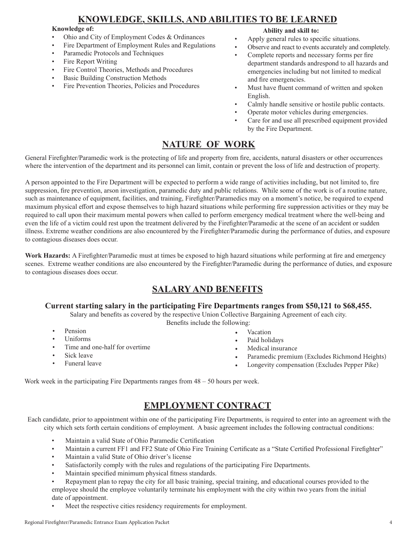### **KNOWLEDGE, SKILLS, AND ABILITIES TO BE LEARNED**

#### **Knowledge of:**

- Ohio and City of Employment Codes & Ordinances
- Fire Department of Employment Rules and Regulations
- Paramedic Protocols and Techniques
- Fire Report Writing
- Fire Control Theories, Methods and Procedures
- Basic Building Construction Methods
- Fire Prevention Theories, Policies and Procedures

#### **Ability and skill to:**

- Apply general rules to specific situations.
- Observe and react to events accurately and completely.
- Complete reports and necessary forms per fire department standards andrespond to all hazards and emergencies including but not limited to medical and fire emergencies.
- Must have fluent command of written and spoken English.
- Calmly handle sensitive or hostile public contacts.
- Operate motor vehicles during emergencies.
- Care for and use all prescribed equipment provided by the Fire Department.

### **NATURE OF WORK**

General Firefighter/Paramedic work is the protecting of life and property from fire, accidents, natural disasters or other occurrences where the intervention of the department and its personnel can limit, contain or prevent the loss of life and destruction of property.

A person appointed to the Fire Department will be expected to perform a wide range of activities including, but not limited to, fire suppression, fire prevention, arson investigation, paramedic duty and public relations. While some of the work is of a routine nature, such as maintenance of equipment, facilities, and training, Firefighter/Paramedics may on a moment's notice, be required to expend maximum physical effort and expose themselves to high hazard situations while performing fire suppression activities or they may be required to call upon their maximum mental powers when called to perform emergency medical treatment where the well-being and even the life of a victim could rest upon the treatment delivered by the Firefighter/Paramedic at the scene of an accident or sudden illness. Extreme weather conditions are also encountered by the Firefighter/Paramedic during the performance of duties, and exposure to contagious diseases does occur.

**Work Hazards:** A Firefighter/Paramedic must at times be exposed to high hazard situations while performing at fire and emergency scenes. Extreme weather conditions are also encountered by the Firefighter/Paramedic during the performance of duties, and exposure to contagious diseases does occur.

### **SALARY AND BENEFITS**

#### **Current starting salary in the participating Fire Departments ranges from \$50,121 to \$68,455.**

Salary and benefits as covered by the respective Union Collective Bargaining Agreement of each city.

Benefits include the following:

- Pension
- Uniforms
- Time and one-half for overtime
- Sick leave
- Funeral leave
- **Vacation**
- Paid holidays
- Medical insurance
- Paramedic premium (Excludes Richmond Heights)
- Longevity compensation (Excludes Pepper Pike)

Work week in the participating Fire Departments ranges from  $48 - 50$  hours per week.

### **EMPLOYMENT CONTRACT**

Each candidate, prior to appointment within one of the participating Fire Departments, is required to enter into an agreement with the city which sets forth certain conditions of employment. A basic agreement includes the following contractual conditions:

- Maintain a valid State of Ohio Paramedic Certification
- Maintain a current FF1 and FF2 State of Ohio Fire Training Certificate as a "State Certified Professional Firefighter"
- Maintain a valid State of Ohio driver's license
- Satisfactorily comply with the rules and regulations of the participating Fire Departments.
- Maintain specified minimum physical fitness standards.

• Repayment plan to repay the city for all basic training, special training, and educational courses provided to the employee should the employee voluntarily terminate his employment with the city within two years from the initial date of appointment.

Meet the respective cities residency requirements for employment.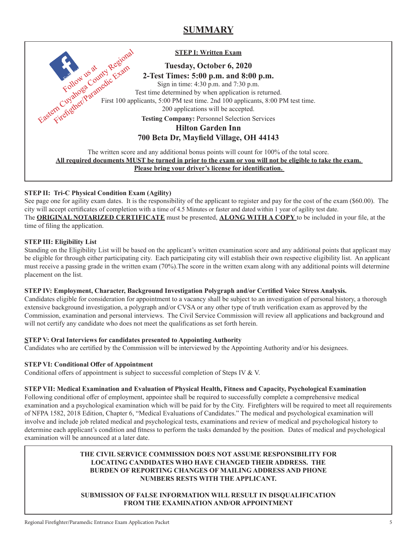### **SUMMARY**



#### **STEP II: Tri-C Physical Condition Exam (Agility)**

See page one for agility exam dates. It is the responsibility of the applicant to register and pay for the cost of the exam (\$60.00). The city will accept certificates of completion with a time of 4.5 Minutes or faster and dated within 1 year of agility test date.

The **ORIGINAL NOTARIZED CERTIFICATE** must be presented, **ALONG WITH A COPY** to be included in your file, at the time of filing the application.

#### **STEP III: Eligibility List**

Standing on the Eligibility List will be based on the applicant's written examination score and any additional points that applicant may be eligible for through either participating city. Each participating city will establish their own respective eligibility list. An applicant must receive a passing grade in the written exam (70%).The score in the written exam along with any additional points will determine placement on the list.

#### **STEP IV: Employment, Character, Background Investigation Polygraph and/or Certified Voice Stress Analysis.**

Candidates eligible for consideration for appointment to a vacancy shall be subject to an investigation of personal history, a thorough extensive background investigation, a polygraph and/or CVSA or any other type of truth verification exam as approved by the Commission, examination and personal interviews. The Civil Service Commission will review all applications and background and will not certify any candidate who does not meet the qualifications as set forth herein.

#### **STEP V: Oral Interviews for candidates presented to Appointing Authority**

Candidates who are certified by the Commission will be interviewed by the Appointing Authority and/or his designees.

#### **STEP VI: Conditional Offer of Appointment**

Conditional offers of appointment is subject to successful completion of Steps IV & V.

#### **STEP VII: Medical Examination and Evaluation of Physical Health, Fitness and Capacity, Psychological Examination**

Following conditional offer of employment, appointee shall be required to successfully complete a comprehensive medical examination and a psychological examination which will be paid for by the City. Firefighters will be required to meet all requirements of NFPA 1582, 2018 Edition, Chapter 6, "Medical Evaluations of Candidates." The medical and psychological examination will involve and include job related medical and psychological tests, examinations and review of medical and psychological history to determine each applicant's condition and fitness to perform the tasks demanded by the position. Dates of medical and psychological examination will be announced at a later date.

#### **THE CIVIL SERVICE COMMISSION DOES NOT ASSUME RESPONSIBILITY FOR LOCATING CANDIDATES WHO HAVE CHANGED THEIR ADDRESS. THE BURDEN OF REPORTING CHANGES OF MAILING ADDRESS AND PHONE NUMBERS RESTS WITH THE APPLICANT.**

**SUBMISSION OF FALSE INFORMATION WILL RESULT IN DISQUALIFICATION FROM THE EXAMINATION AND/OR APPOINTMENT**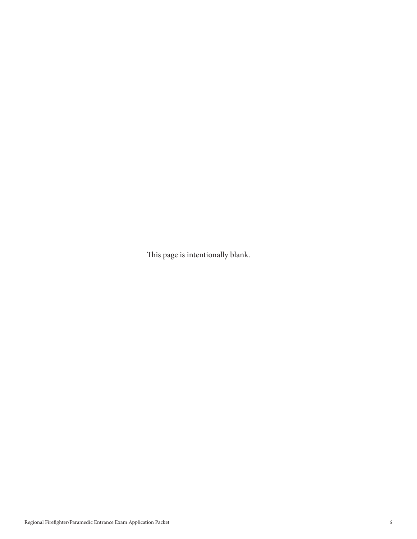This page is intentionally blank.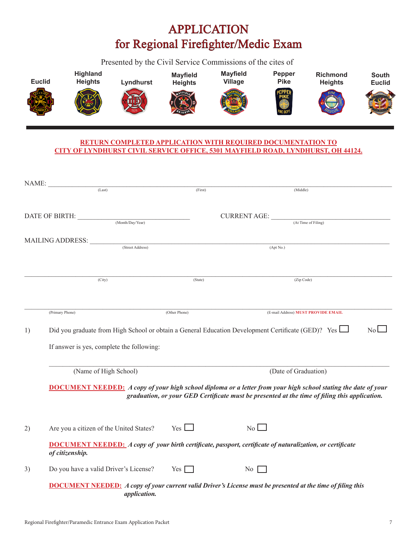# APPLICATION for Regional Firefighter/Medic Exam

### Presented by the Civil Service Commissions of the cites of

| <b>Euclid</b> | <b>Highland</b><br><b>Heights</b> | Lyndhurst | <b>Mayfield</b><br><b>Heights</b> | <b>Mayfield</b><br>Village | Pepper<br><b>Pike</b> | <b>Richmond</b><br><b>Heights</b> | <b>South</b><br><b>Euclid</b> |
|---------------|-----------------------------------|-----------|-----------------------------------|----------------------------|-----------------------|-----------------------------------|-------------------------------|
|               |                                   |           | MAYFIELA.                         |                            | PEPPER<br>FIRE DEPT.  | FIRE                              |                               |

#### **RETURN COMPLETED APPLICATION WITH REQUIRED DOCUMENTATION TO CITY OF LYNDHURST CIVIL SERVICE OFFICE, 5301 MAYFIELD ROAD, LYNDHURST, OH 44124.**

| NAME: |                                                                                                                                      |               |                                                                                               |          |  |  |  |  |
|-------|--------------------------------------------------------------------------------------------------------------------------------------|---------------|-----------------------------------------------------------------------------------------------|----------|--|--|--|--|
|       | (Last)                                                                                                                               | (First)       | (Middle)                                                                                      |          |  |  |  |  |
|       | DATE OF BIRTH:<br>(Month/Day/Year)                                                                                                   |               | <b>CURRENT AGE:</b><br>(At Time of Filing)                                                    |          |  |  |  |  |
|       |                                                                                                                                      |               |                                                                                               |          |  |  |  |  |
|       | MAILING ADDRESS:<br>(Street Address)                                                                                                 |               | (Apt No.)                                                                                     |          |  |  |  |  |
|       |                                                                                                                                      |               |                                                                                               |          |  |  |  |  |
|       |                                                                                                                                      |               |                                                                                               |          |  |  |  |  |
|       | (City)                                                                                                                               | (State)       | (Zip Code)                                                                                    |          |  |  |  |  |
|       |                                                                                                                                      |               |                                                                                               |          |  |  |  |  |
|       | (Primary Phone)                                                                                                                      | (Other Phone) | (E-mail Address) MUST PROVIDE EMAIL                                                           |          |  |  |  |  |
|       |                                                                                                                                      |               |                                                                                               |          |  |  |  |  |
| 1)    | Did you graduate from High School or obtain a General Education Development Certificate (GED)? Yes                                   |               |                                                                                               | $\rm No$ |  |  |  |  |
|       | If answer is yes, complete the following:                                                                                            |               |                                                                                               |          |  |  |  |  |
|       |                                                                                                                                      |               |                                                                                               |          |  |  |  |  |
|       | (Name of High School)                                                                                                                |               | (Date of Graduation)                                                                          |          |  |  |  |  |
|       | <b>DOCUMENT NEEDED:</b> A copy of your high school diploma or a letter from your high school stating the date of your                |               | graduation, or your GED Certificate must be presented at the time of filing this application. |          |  |  |  |  |
| 2)    | Are you a citizen of the United States?                                                                                              | $Yes$ $\Box$  | $No$ $\Box$                                                                                   |          |  |  |  |  |
|       | <b>DOCUMENT NEEDED:</b> A copy of your birth certificate, passport, certificate of naturalization, or certificate<br>of citizenship. |               |                                                                                               |          |  |  |  |  |
| 3)    | Do you have a valid Driver's License?                                                                                                | $Yes \Box$    | No.                                                                                           |          |  |  |  |  |
|       | <b>DOCUMENT NEEDED:</b> A copy of your current valid Driver's License must be presented at the time of filing this<br>application.   |               |                                                                                               |          |  |  |  |  |